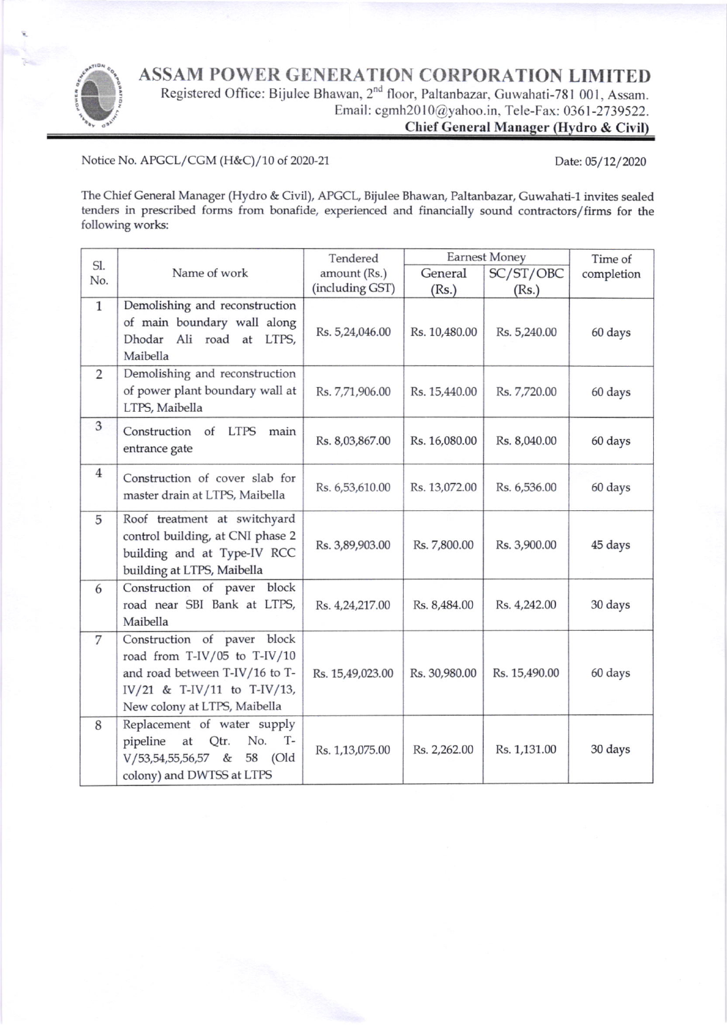ASSAM POWER GENERATION CORPORATION LIMITED



Registered Office: Bijulee Bhawan, 2<sup>nd</sup> floor, Paltanbazar, Guwahati-781 001, Assam. Email: cgmh20 l 0@yahoo.in. Tele-Fax: 0361 -27 39522.

Chief General Manager (Hydro & Civil)

Notice No. APGCL/CGM (H&C)/10 of 2020-21

Date: 05/12/2020

The Chief General Manager (Hydro & Civil), APGCL, Bijulee Bhawan, Paltanbazar, Guwahati-1 invites sealed tenders in prescribed forms from bonafide, experienced and financially sound contractors/firms for the following works:

| Sl.            |                                         | Tendered         | <b>Earnest Money</b> |               | Time of    |
|----------------|-----------------------------------------|------------------|----------------------|---------------|------------|
| No.            | Name of work                            | amount (Rs.)     | General              | SC/ST/OBC     | completion |
|                |                                         | (including GST)  | (Rs.)                | (Rs.)         |            |
| $\mathbf{1}$   | Demolishing and reconstruction          |                  |                      |               |            |
|                | of main boundary wall along             | Rs. 5,24,046.00  | Rs. 10,480.00        | Rs. 5,240.00  | 60 days    |
|                | Ali road at LTPS,<br>Dhodar<br>Maibella |                  |                      |               |            |
| 2              | Demolishing and reconstruction          |                  |                      |               |            |
|                | of power plant boundary wall at         | Rs. 7,71,906.00  | Rs. 15,440.00        | Rs. 7,720.00  | 60 days    |
|                | LTPS, Maibella                          |                  |                      |               |            |
| 3              | Construction of LTPS<br>main            |                  |                      |               |            |
|                | entrance gate                           | Rs. 8,03,867.00  | Rs. 16,080.00        | Rs. 8,040.00  | 60 days    |
| $\overline{4}$ | Construction of cover slab for          |                  |                      |               |            |
|                | master drain at LTPS, Maibella          | Rs. 6,53,610.00  | Rs. 13,072.00        | Rs. 6,536.00  | 60 days    |
| 5              | Roof treatment at switchyard            |                  |                      |               |            |
|                | control building, at CNI phase 2        |                  |                      |               |            |
|                | building and at Type-IV RCC             | Rs. 3,89,903.00  | Rs. 7,800.00         | Rs. 3,900.00  | 45 days    |
|                | building at LTPS, Maibella              |                  |                      |               |            |
| 6              | Construction of paver<br>block          |                  |                      |               |            |
|                | road near SBI Bank at LTPS,             | Rs. 4,24,217.00  | Rs. 8,484.00         | Rs. 4,242.00  | 30 days    |
|                | Maibella                                |                  |                      |               |            |
| 7              | Construction of paver block             |                  |                      |               |            |
|                | road from T-IV/05 to T-IV/10            |                  |                      |               |            |
|                | and road between T-IV/16 to T-          | Rs. 15,49,023.00 | Rs. 30,980.00        | Rs. 15,490.00 | 60 days    |
|                | IV/21 & T-IV/11 to T-IV/13,             |                  |                      |               |            |
|                | New colony at LTPS, Maibella            |                  |                      |               |            |
| 8              | Replacement of water supply             |                  |                      |               |            |
|                | pipeline<br>No.<br>$T-$<br>Qtr.<br>at   | Rs. 1,13,075.00  | Rs. 2,262.00         | Rs. 1,131.00  | 30 days    |
|                | $V/53,54,55,56,57$ &<br>58 (Old         |                  |                      |               |            |
|                | colony) and DWTSS at LTPS               |                  |                      |               |            |